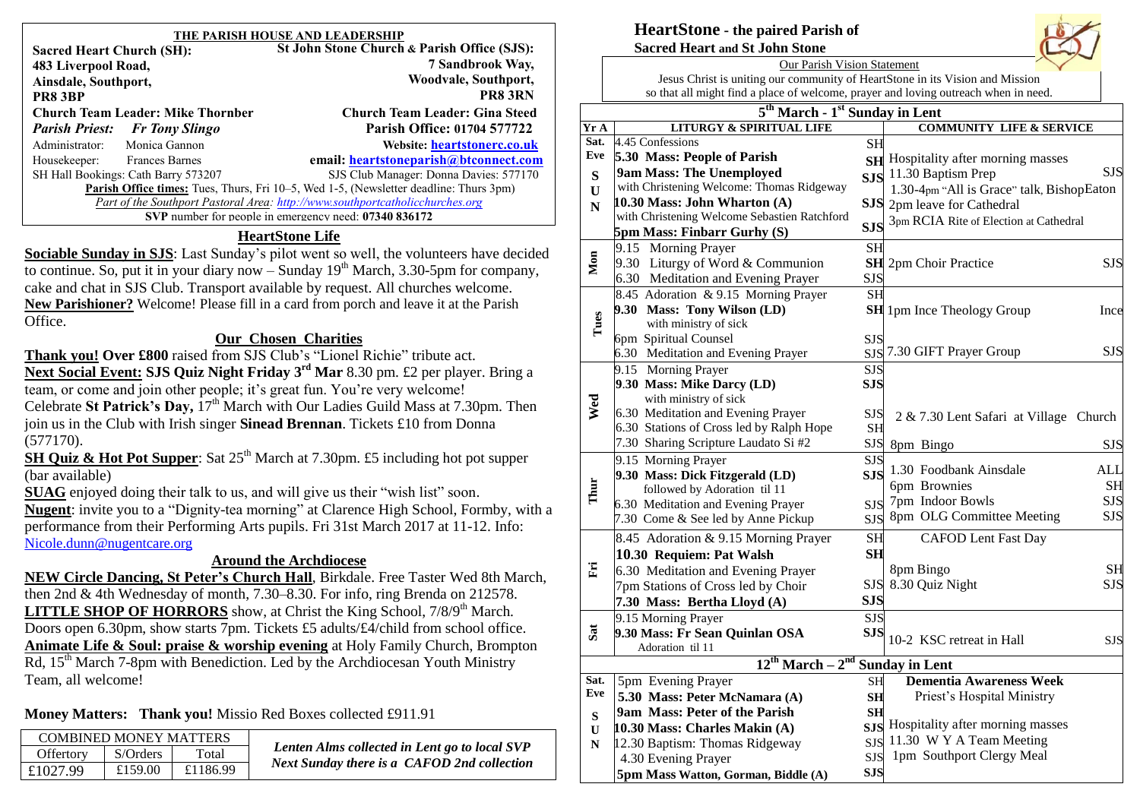| THE PARISH HOUSE AND LEADERSHIP                                                              |                                             |  |  |  |
|----------------------------------------------------------------------------------------------|---------------------------------------------|--|--|--|
| <b>Sacred Heart Church (SH):</b>                                                             | St John Stone Church & Parish Office (SJS): |  |  |  |
| 483 Liverpool Road,                                                                          | 7 Sandbrook Way,                            |  |  |  |
| Ainsdale, Southport,                                                                         | Woodvale, Southport,                        |  |  |  |
| PR8 3BP                                                                                      | <b>PR8 3RN</b>                              |  |  |  |
| <b>Church Team Leader: Mike Thornber</b>                                                     | <b>Church Team Leader: Gina Steed</b>       |  |  |  |
| <b>Parish Priest:</b> Fr Tony Slingo                                                         | Parish Office: 01704 577722                 |  |  |  |
| Monica Gannon<br>Administrator:                                                              | Website: heartstonerc.co.uk                 |  |  |  |
| Housekeeper:<br><b>Frances Barnes</b>                                                        | email: heartstoneparish@btconnect.com       |  |  |  |
| SH Hall Bookings: Cath Barry 573207                                                          | SJS Club Manager: Donna Davies: 577170      |  |  |  |
| <b>Parish Office times:</b> Tues, Thurs, Fri 10–5, Wed 1-5, (Newsletter deadline: Thurs 3pm) |                                             |  |  |  |
| Part of the Southport Pastoral Area: http://www.southportcatholicchurches.org                |                                             |  |  |  |
| SVP number for people in emergency need: 07340 836172                                        |                                             |  |  |  |
| $\overline{1}$<br><b>TT</b>                                                                  |                                             |  |  |  |

#### **HeartStone Life**

**Sociable Sunday in SJS**: Last Sunday's pilot went so well, the volunteers have decided to continue. So, put it in your diary now – Sunday  $19<sup>th</sup>$  March, 3.30-5pm for company, cake and chat in SJS Club. Transport available by request. All churches welcome. **New Parishioner?** Welcome! Please fill in a card from porch and leave it at the Parish Office.

#### **Our Chosen Charities**

**Thank you! Over £800** raised from SJS Club's "Lionel Richie" tribute act. **Next Social Event: SJS Quiz Night Friday 3rd Mar** 8.30 pm. £2 per player. Bring a team, or come and join other people; it's great fun. You're very welcome! Celebrate **St Patrick's Day,**  $17<sup>th</sup>$  March with Our Ladies Guild Mass at 7.30pm. Then join us in the Club with Irish singer **Sinead Brennan**. Tickets £10 from Donna (577170).

**SH Quiz & Hot Pot Supper**: Sat 25<sup>th</sup> March at 7.30pm. £5 including hot pot supper (bar available)

**SUAG** enjoyed doing their talk to us, and will give us their "wish list" soon. **Nugent**: invite you to a "Dignity-tea morning" at Clarence High School, Formby, with a performance from their Performing Arts pupils. Fri 31st March 2017 at 11-12. Info: [Nicole.dunn@nugentcare.org](mailto:Nicole.dunn@nugentcare.org)

#### **Around the Archdiocese**

**NEW Circle Dancing, St Peter's Church Hall**, Birkdale. Free Taster Wed 8th March, then 2nd & 4th Wednesday of month, 7.30–8.30. For info, ring Brenda on 212578. **LITTLE SHOP OF HORRORS** show, at Christ the King School,  $7/8/9<sup>th</sup>$  March. Doors open 6.30pm, show starts 7pm. Tickets £5 adults/£4/child from school office. **Animate Life & Soul: praise & worship evening** at Holy Family Church, Brompton  $Rd$ , 15<sup>th</sup> March 7-8pm with Benediction. Led by the Archdiocesan Youth Ministry Team, all welcome!

**Money Matters: Thank you!** Missio Red Boxes collected £911.91

|                 | <b>COMBINED MONEY MATTERS</b> |          |                  |  |
|-----------------|-------------------------------|----------|------------------|--|
| <b>Lenten</b> A | Total                         | S/Orders | <b>Offertory</b> |  |
| <b>Next Sun</b> | £1186.99                      | £159.00  | £1027.99         |  |
|                 |                               |          |                  |  |

*Lenten Alms collected in Lent go to local SVP Next Sunday there is a CAFOD 2nd collection* 

#### **HeartStone - the paired Parish of Sacred Heart and St John Stone**



Jesus Christ is uniting our community of HeartStone in its Vision and Mission so that all might find a place of welcome, prayer and loving outreach when in need.

| 5 <sup>th</sup> March - 1 <sup>st</sup> Sunday in Lent |                                                             |                  |                                            |  |  |  |  |
|--------------------------------------------------------|-------------------------------------------------------------|------------------|--------------------------------------------|--|--|--|--|
| Yr A                                                   | <b>LITURGY &amp; SPIRITUAL LIFE</b>                         |                  | <b>COMMUNITY LIFE &amp; SERVICE</b>        |  |  |  |  |
| Sat.                                                   | 4.45 Confessions                                            | <b>SH</b>        |                                            |  |  |  |  |
| Eve                                                    | 5.30 Mass: People of Parish                                 | <b>SH</b>        | Hospitality after morning masses           |  |  |  |  |
| S                                                      | 9am Mass: The Unemployed                                    |                  | <b>SJS</b><br>SJS 11.30 Baptism Prep       |  |  |  |  |
| U                                                      | with Christening Welcome: Thomas Ridgeway                   |                  | 1.30-4pm "All is Grace" talk, BishopEaton  |  |  |  |  |
| ${\bf N}$                                              | 10.30 Mass: John Wharton $(A)$                              |                  | SJS 2pm leave for Cathedral                |  |  |  |  |
|                                                        | with Christening Welcome Sebastien Ratchford                | <b>SJS</b>       | 3pm RCIA Rite of Election at Cathedral     |  |  |  |  |
|                                                        | <b>5pm Mass: Finbarr Gurhy (S)</b>                          |                  |                                            |  |  |  |  |
|                                                        | 9.15 Morning Prayer                                         | <b>SH</b>        |                                            |  |  |  |  |
| Mon                                                    | 9.30 Liturgy of Word & Communion                            |                  | <b>SH</b> 2pm Choir Practice<br><b>SJS</b> |  |  |  |  |
|                                                        | 6.30 Meditation and Evening Prayer                          | SJS              |                                            |  |  |  |  |
|                                                        | 8.45 Adoration & 9.15 Morning Prayer                        | <b>SH</b>        |                                            |  |  |  |  |
|                                                        | 9.30 Mass: Tony Wilson (LD)                                 |                  | <b>SH</b> 1pm Ince Theology Group<br>Ince  |  |  |  |  |
| Tues                                                   | with ministry of sick                                       |                  |                                            |  |  |  |  |
|                                                        | 6pm Spiritual Counsel<br>6.30 Meditation and Evening Prayer | SJS              | SJS 7.30 GIFT Prayer Group<br><b>SJS</b>   |  |  |  |  |
|                                                        | 9.15 Morning Prayer                                         | <b>SJS</b>       |                                            |  |  |  |  |
|                                                        | 9.30 Mass: Mike Darcy (LD)                                  | <b>SJS</b>       |                                            |  |  |  |  |
|                                                        | with ministry of sick                                       |                  |                                            |  |  |  |  |
| Wed                                                    | 6.30 Meditation and Evening Prayer                          | <b>SJS</b>       | 2 & 7.30 Lent Safari at Village Church     |  |  |  |  |
|                                                        | 6.30 Stations of Cross led by Ralph Hope                    | <b>SH</b>        |                                            |  |  |  |  |
|                                                        | 7.30 Sharing Scripture Laudato Si #2                        |                  | SJS 8pm Bingo<br><b>SJS</b>                |  |  |  |  |
|                                                        | 9.15 Morning Prayer                                         | <b>SJS</b>       |                                            |  |  |  |  |
|                                                        | 9.30 Mass: Dick Fitzgerald (LD)                             | <b>SJS</b>       | 1.30 Foodbank Ainsdale<br><b>ALL</b>       |  |  |  |  |
| Thur                                                   | followed by Adoration til 11                                |                  | 6pm Brownies<br><b>SH</b>                  |  |  |  |  |
|                                                        | 6.30 Meditation and Evening Prayer                          | <b>SJS</b>       | 7pm Indoor Bowls<br><b>SJS</b>             |  |  |  |  |
|                                                        | 7.30 Come & See led by Anne Pickup                          | <b>SJS</b>       | 8pm OLG Committee Meeting<br><b>SJS</b>    |  |  |  |  |
|                                                        | 8.45 Adoration & 9.15 Morning Prayer                        | <b>SH</b>        | <b>CAFOD Lent Fast Day</b>                 |  |  |  |  |
|                                                        | 10.30 Requiem: Pat Walsh                                    | <b>SH</b>        |                                            |  |  |  |  |
| Eri                                                    | 6.30 Meditation and Evening Prayer                          |                  | 8pm Bingo<br><b>SH</b>                     |  |  |  |  |
|                                                        | 7pm Stations of Cross led by Choir                          | <b>SJS</b>       | <b>SJS</b><br>8.30 Quiz Night              |  |  |  |  |
|                                                        | 7.30 Mass: Bertha Lloyd (A)                                 | <b>SJS</b>       |                                            |  |  |  |  |
|                                                        | 9.15 Morning Prayer                                         | $\overline{SJS}$ |                                            |  |  |  |  |
| Sat                                                    | 9.30 Mass: Fr Sean Quinlan OSA                              | <b>SJS</b>       | 10-2 KSC retreat in Hall                   |  |  |  |  |
|                                                        | Adoration til 11                                            |                  | <b>SJS</b>                                 |  |  |  |  |
|                                                        | 12 <sup>th</sup> March - 2 <sup>nd</sup> Sunday in Lent     |                  |                                            |  |  |  |  |
| Sat.                                                   | 5pm Evening Prayer                                          | SH               | <b>Dementia Awareness Week</b>             |  |  |  |  |
| Eve                                                    | 5.30 Mass: Peter McNamara (A)                               | <b>SH</b>        | Priest's Hospital Ministry                 |  |  |  |  |
| ${\bf S}$                                              | 9am Mass: Peter of the Parish                               | <b>SH</b>        |                                            |  |  |  |  |
| U                                                      | 10.30 Mass: Charles Makin (A)                               |                  | SJS Hospitality after morning masses       |  |  |  |  |
| N                                                      | 12.30 Baptism: Thomas Ridgeway                              | <b>SJS</b>       | 11.30 W Y A Team Meeting                   |  |  |  |  |
|                                                        | 4.30 Evening Prayer                                         | <b>SJS</b>       | 1pm Southport Clergy Meal                  |  |  |  |  |
|                                                        | 5pm Mass Watton, Gorman, Biddle (A)                         | <b>SJS</b>       |                                            |  |  |  |  |